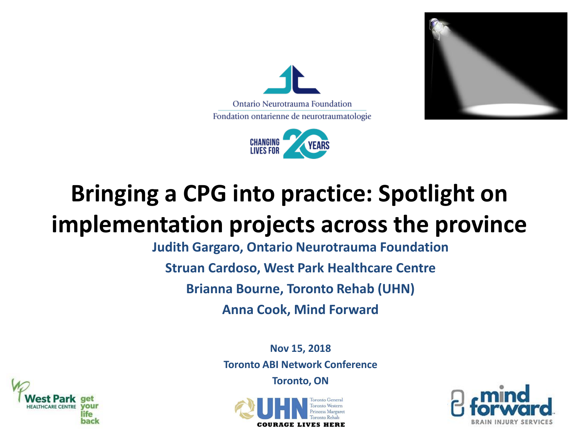





## **Bringing a CPG into practice: Spotlight on implementation projects across the province**

**Judith Gargaro, Ontario Neurotrauma Foundation**

**Struan Cardoso, West Park Healthcare Centre**

**Brianna Bourne, Toronto Rehab (UHN)**

**Anna Cook, Mind Forward**

**Nov 15, 2018 Toronto ABI Network Conference**

**Toronto, ON**





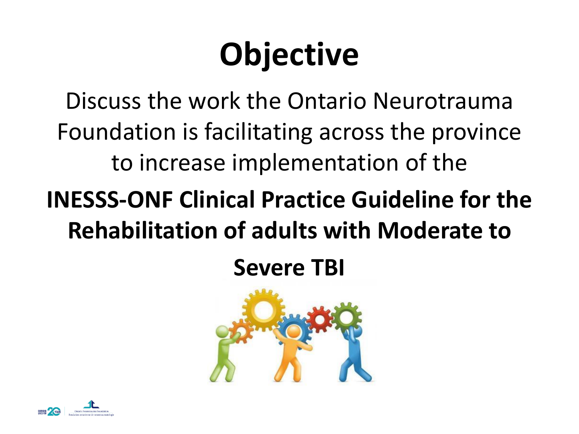# **Objective**

Discuss the work the Ontario Neurotrauma Foundation is facilitating across the province to increase implementation of the

## **INESSS-ONF Clinical Practice Guideline for the Rehabilitation of adults with Moderate to**

**Severe TBI**



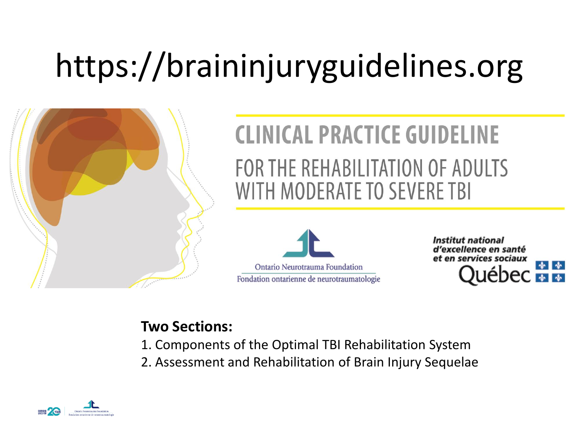# https://braininjuryguidelines.org



## **CLINICAL PRACTICE GUIDELINE** FOR THE REHABILITATION OF ADULTS WITH MODERATE TO SEVERE TBI



Institut national d'excellence en santé et en services sociaux

#### **Two Sections:**

- 1. Components of the Optimal TBI Rehabilitation System
- 2. Assessment and Rehabilitation of Brain Injury Sequelae

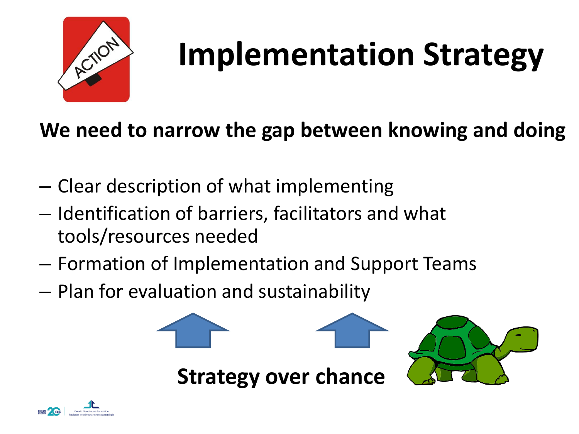

# **Implementation Strategy**

#### **We need to narrow the gap between knowing and doing**

- Clear description of what implementing
- Identification of barriers, facilitators and what tools/resources needed
- Formation of Implementation and Support Teams
- Plan for evaluation and sustainability



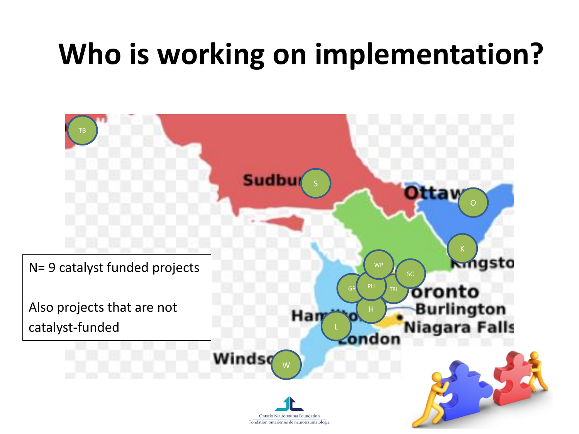# **Who is working on implementation?**

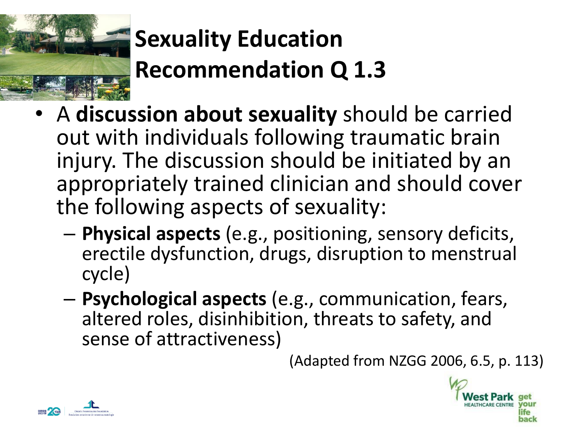

# **Sexuality Education Recommendation Q 1.3**

- **Hospital** A cale calculum and calculating chosing to contribe • A **discussion about sexuality** should be carried injury. The discussion should be initiated by an appropriately trained clinician and should cover the following aspects of sexuality:
	- **Physical aspects** (e.g., positioning, sensory deficits, erectile dysfunction, drugs, disruption to menstrual cycle)
	- **Psychological aspects** (e.g., communication, fears, altered roles, disinhibition, threats to safety, and sense of attractiveness)

(Adapted from NZGG 2006, 6.5, p. 113)



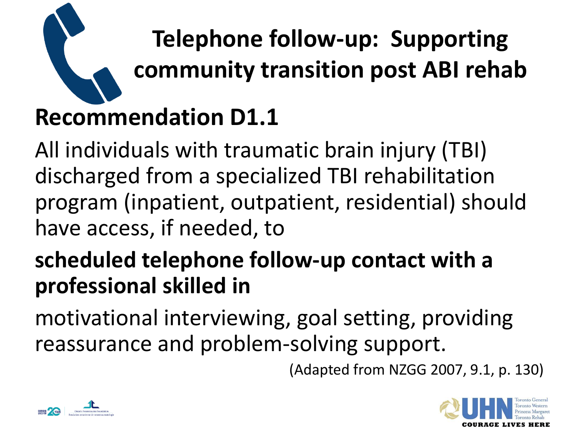

**Telephone follow-up: Supporting community transition post ABI rehab Recommendation D1.1**

All individuals with traumatic brain injury (TBI) discharged from a specialized TBI rehabilitation program (inpatient, outpatient, residential) should have access, if needed, to

#### **scheduled telephone follow-up contact with a professional skilled in**

motivational interviewing, goal setting, providing reassurance and problem-solving support.

(Adapted from NZGG 2007, 9.1, p. 130)